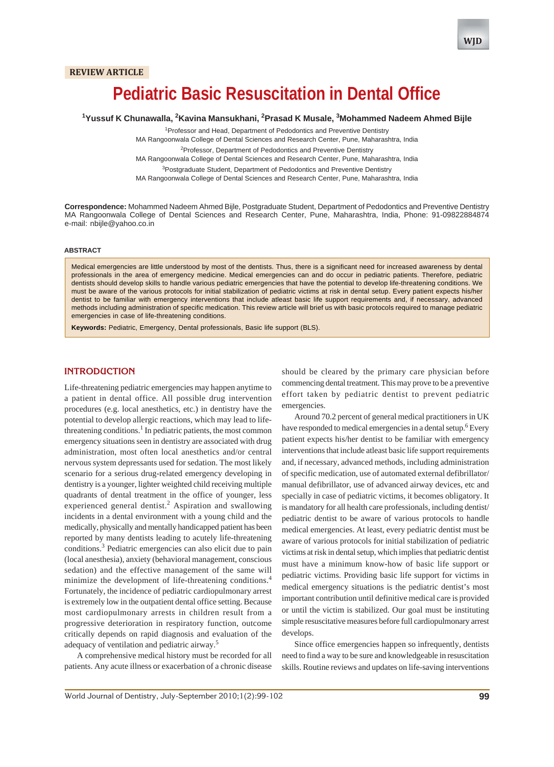# **Pediatric Basic Resuscitation in Dental Office**

### <sup>1</sup>Yussuf K Chunawalla, <sup>2</sup>Kavina Mansukhani, <sup>2</sup>Prasad K Musale, <sup>3</sup>Mohammed Nadeem Ahmed Bijle

<sup>1</sup> Professor and Head, Department of Pedodontics and Preventive Dentistry MA Rangoonwala College of Dental Sciences and Research Center, Pune, Maharashtra, India

<sup>2</sup> Professor, Department of Pedodontics and Preventive Dentistry

MA Rangoonwala College of Dental Sciences and Research Center, Pune, Maharashtra, India

<sup>3</sup>Postgraduate Student, Department of Pedodontics and Preventive Dentistry

MA Rangoonwala College of Dental Sciences and Research Center, Pune, Maharashtra, India

**Correspondence:** Mohammed Nadeem Ahmed Bijle, Postgraduate Student, Department of Pedodontics and Preventive Dentistry MA Rangoonwala College of Dental Sciences and Research Center, Pune, Maharashtra, India, Phone: 91-09822884874 e-mail: nbijle@yahoo.co.in

#### **ABSTRACT**

Medical emergencies are little understood by most of the dentists. Thus, there is a significant need for increased awareness by dental professionals in the area of emergency medicine. Medical emergencies can and do occur in pediatric patients. Therefore, pediatric dentists should develop skills to handle various pediatric emergencies that have the potential to develop life-threatening conditions. We must be aware of the various protocols for initial stabilization of pediatric victims at risk in dental setup. Every patient expects his/her dentist to be familiar with emergency interventions that include atleast basic life support requirements and, if necessary, advanced methods including administration of specific medication. This review article will brief us with basic protocols required to manage pediatric emergencies in case of life-threatening conditions.

**Keywords:** Pediatric, Emergency, Dental professionals, Basic life support (BLS).

#### **INTRODUCTION**

Life-threatening pediatric emergencies may happen anytime to a patient in dental office. All possible drug intervention procedures (e.g. local anesthetics, etc.) in dentistry have the potential to develop allergic reactions, which may lead to lifethreatening conditions.<sup>1</sup> In pediatric patients, the most common emergency situations seen in dentistry are associated with drug administration, most often local anesthetics and/or central nervous system depressants used for sedation. The most likely scenario for a serious drug-related emergency developing in dentistry is a younger, lighter weighted child receiving multiple quadrants of dental treatment in the office of younger, less experienced general dentist.<sup>2</sup> Aspiration and swallowing incidents in a dental environment with a young child and the medically, physically and mentally handicapped patient has been reported by many dentists leading to acutely life-threatening conditions.<sup>3</sup> Pediatric emergencies can also elicit due to pain (local anesthesia), anxiety (behavioral management, conscious sedation) and the effective management of the same will minimize the development of life-threatening conditions.<sup>4</sup> Fortunately, the incidence of pediatric cardiopulmonary arrest is extremely low in the outpatient dental office setting. Because most cardiopulmonary arrests in children result from a progressive deterioration in respiratory function, outcome critically depends on rapid diagnosis and evaluation of the adequacy of ventilation and pediatric airway.<sup>5</sup>

A comprehensive medical history must be recorded for all patients. Any acute illness or exacerbation of a chronic disease

should be cleared by the primary care physician before commencing dental treatment. This may prove to be a preventive effort taken by pediatric dentist to prevent pediatric emergencies.

Around 70.2 percent of general medical practitioners in UK have responded to medical emergencies in a dental setup. <sup>6</sup> Every patient expects his/her dentist to be familiar with emergency interventions that include atleast basic life support requirements and, if necessary, advanced methods, including administration of specific medication, use of automated external defibrillator/ manual defibrillator, use of advanced airway devices, etc and specially in case of pediatric victims, it becomes obligatory. It is mandatory for all health care professionals, including dentist/ pediatric dentist to be aware of various protocols to handle medical emergencies. At least, every pediatric dentist must be aware of various protocols for initial stabilization of pediatric victims at risk in dental setup, which implies that pediatric dentist must have a minimum know-how of basic life support or pediatric victims. Providing basic life support for victims in medical emergency situations is the pediatric dentist's most important contribution until definitive medical care is provided or until the victim is stabilized. Our goal must be instituting simple resuscitative measures before full cardiopulmonary arrest develops.

Since office emergencies happen so infrequently, dentists need to find a way to be sure and knowledgeable in resuscitation skills. Routine reviews and updates on life-saving interventions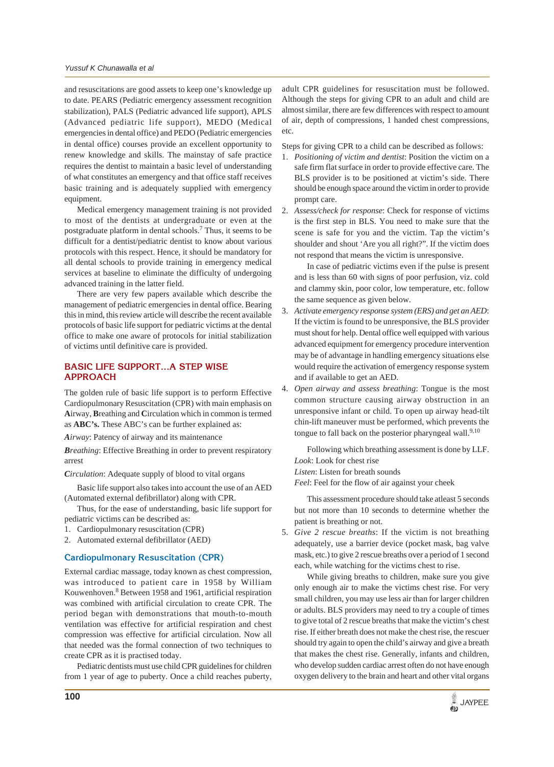and resuscitations are good assets to keep one's knowledge up to date. PEARS (Pediatric emergency assessment recognition stabilization), PALS (Pediatric advanced life support), APLS (Advanced pediatric life support), MEDO (Medical emergencies in dental office) and PEDO (Pediatric emergencies in dental office) courses provide an excellent opportunity to renew knowledge and skills. The mainstay of safe practice requires the dentist to maintain a basic level of understanding of what constitutes an emergency and that office staff receives basic training and is adequately supplied with emergency equipment.

Medical emergency management training is not provided to most of the dentists at undergraduate or even at the postgraduate platform in dental schools.<sup>7</sup> Thus, it seems to be difficult for a dentist/pediatric dentist to know about various protocols with this respect. Hence, it should be mandatory for all dental schools to provide training in emergency medical services at baseline to eliminate the difficulty of undergoing advanced training in the latter field.

There are very few papers available which describe the management of pediatric emergencies in dental office. Bearing this in mind, this review article will describe the recent available protocols of basic life support for pediatric victims at the dental office to make one aware of protocols for initial stabilization of victims until definitive care is provided.

## **BASIC LIFE SUPPORT…A STEP WISE APPROACH**

The golden rule of basic life support is to perform Effective Cardiopulmonary Resuscitation (CPR) with main emphasis on **A**irway, **B**reathing and **C**irculation which in common is termed as **ABC's.** These ABC's can be further explained as:

*Airway*: Patency of airway and its maintenance

*Breathing*: Effective Breathing in order to prevent respiratory arrest

*Circulation*: Adequate supply of blood to vital organs

Basic life support also takes into account the use of an AED (Automated external defibrillator) along with CPR.

Thus, for the ease of understanding, basic life support for pediatric victims can be described as:

- 1. Cardiopulmonary resuscitation (CPR)
- 2. Automated external defibrillator (AED)

## **Cardiopulmonary Resuscitation (CPR)**

External cardiac massage, today known as chest compression, was introduced to patient care in 1958 by William Kouwenhoven.<sup>8</sup> Between 1958 and 1961, artificial respiration was combined with artificial circulation to create CPR. The period began with demonstrations that mouth-to-mouth ventilation was effective for artificial respiration and chest compression was effective for artificial circulation. Now all that needed was the formal connection of two techniques to create CPR as it is practised today.

Pediatric dentists must use child CPR guidelines for children from 1 year of age to puberty. Once a child reaches puberty,

adult CPR guidelines for resuscitation must be followed. Although the steps for giving CPR to an adult and child are almost similar, there are few differences with respect to amount of air, depth of compressions, 1 handed chest compressions, etc.

Steps for giving CPR to a child can be described as follows:

- 1. *Positioning of victim and dentist*: Position the victim on a safe firm flat surface in order to provide effective care. The BLS provider is to be positioned at victim's side. There should be enough space around the victim in order to provide prompt care.
- 2. *Assess/check for response*: Check for response of victims is the first step in BLS. You need to make sure that the scene is safe for you and the victim. Tap the victim's shoulder and shout 'Are you all right?". If the victim does not respond that means the victim is unresponsive.

In case of pediatric victims even if the pulse is present and is less than 60 with signs of poor perfusion, viz. cold and clammy skin, poor color, low temperature, etc. follow the same sequence as given below.

- 3. *Activate emergency response system (ERS) and get an AED*: If the victim is found to be unresponsive, the BLS provider must shout for help. Dental office well equipped with various advanced equipment for emergency procedure intervention may be of advantage in handling emergency situations else would require the activation of emergency response system and if available to get an AED.
- 4. *Open airway and assess breathing*: Tongue is the most common structure causing airway obstruction in an unresponsive infant or child. To open up airway head-tilt chin-lift maneuver must be performed, which prevents the tongue to fall back on the posterior pharyngeal wall.<sup>9,10</sup>

Following which breathing assessment is done by LLF. *Look*: Look for chest rise

*Listen*: Listen for breath sounds

*Feel*: Feel for the flow of air against your cheek

This assessment procedure should take atleast 5 seconds but not more than 10 seconds to determine whether the patient is breathing or not.

5. *Give 2 rescue breaths*: If the victim is not breathing adequately, use a barrier device (pocket mask, bag valve mask, etc.) to give 2 rescue breaths over a period of 1 second each, while watching for the victims chest to rise.

While giving breaths to children, make sure you give only enough air to make the victims chest rise. For very small children, you may use less air than for larger children or adults. BLS providers may need to try a couple of times to give total of 2 rescue breaths that make the victim's chest rise. If either breath does not make the chest rise, the rescuer should try again to open the child's airway and give a breath that makes the chest rise. Generally, infants and children, who develop sudden cardiac arrest often do not have enough oxygen delivery to the brain and heart and other vital organs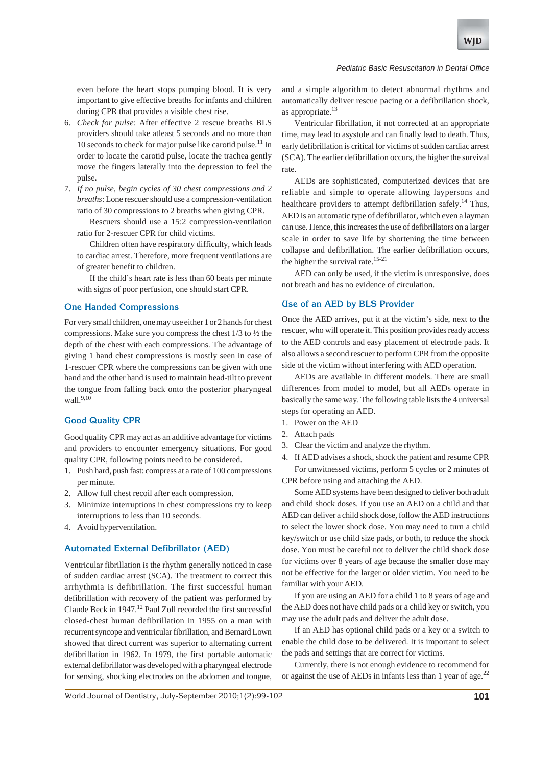even before the heart stops pumping blood. It is very important to give effective breaths for infants and children during CPR that provides a visible chest rise.

- 6. *Check for pulse*: After effective 2 rescue breaths BLS providers should take atleast 5 seconds and no more than 10 seconds to check for major pulse like carotid pulse.<sup>11</sup> In order to locate the carotid pulse, locate the trachea gently move the fingers laterally into the depression to feel the pulse.
- 7. *If no pulse, begin cycles of 30 chest compressions and 2 breaths*: Lone rescuer should use a compression-ventilation ratio of 30 compressions to 2 breaths when giving CPR.
	- Rescuers should use a 15:2 compression-ventilation ratio for 2-rescuer CPR for child victims.

Children often have respiratory difficulty, which leads to cardiac arrest. Therefore, more frequent ventilations are of greater benefit to children.

If the child's heart rate is less than 60 beats per minute with signs of poor perfusion, one should start CPR.

## **One Handed Compressions**

For very small children, one may use either 1 or 2 hands for chest compressions. Make sure you compress the chest 1/3 to ½ the depth of the chest with each compressions. The advantage of giving 1 hand chest compressions is mostly seen in case of 1-rescuer CPR where the compressions can be given with one hand and the other hand is used to maintain head-tilt to prevent the tongue from falling back onto the posterior pharyngeal wall. $9,10$ 

### **Good Quality CPR**

Good quality CPR may act as an additive advantage for victims and providers to encounter emergency situations. For good quality CPR, following points need to be considered.

- 1. Push hard, push fast: compress at a rate of 100 compressions per minute.
- 2. Allow full chest recoil after each compression.
- 3. Minimize interruptions in chest compressions try to keep interruptions to less than 10 seconds.
- 4. Avoid hyperventilation.

#### **Automated External Defibrillator (AED)**

Ventricular fibrillation is the rhythm generally noticed in case of sudden cardiac arrest (SCA). The treatment to correct this arrhythmia is defibrillation. The first successful human defibrillation with recovery of the patient was performed by Claude Beck in 1947.<sup>12</sup> Paul Zoll recorded the first successful closed-chest human defibrillation in 1955 on a man with recurrent syncope and ventricular fibrillation, and Bernard Lown showed that direct current was superior to alternating current defibrillation in 1962. In 1979, the first portable automatic external defibrillator was developed with a pharyngeal electrode for sensing, shocking electrodes on the abdomen and tongue,

and a simple algorithm to detect abnormal rhythms and automatically deliver rescue pacing or a defibrillation shock, as appropriate. $13$ 

Ventricular fibrillation, if not corrected at an appropriate time, may lead to asystole and can finally lead to death. Thus, early defibrillation is critical for victims of sudden cardiac arrest (SCA). The earlier defibrillation occurs, the higher the survival rate.

AEDs are sophisticated, computerized devices that are reliable and simple to operate allowing laypersons and healthcare providers to attempt defibrillation safely.<sup>14</sup> Thus, AED is an automatic type of defibrillator, which even a layman can use. Hence, this increases the use of defibrillators on a larger scale in order to save life by shortening the time between collapse and defibrillation. The earlier defibrillation occurs, the higher the survival rate.<sup>15-21</sup>

AED can only be used, if the victim is unresponsive, does not breath and has no evidence of circulation.

#### **Use of an AED by BLS Provider**

Once the AED arrives, put it at the victim's side, next to the rescuer, who will operate it. This position provides ready access to the AED controls and easy placement of electrode pads. It also allows a second rescuer to perform CPR from the opposite side of the victim without interfering with AED operation.

AEDs are available in different models. There are small differences from model to model, but all AEDs operate in basically the same way. The following table lists the 4 universal steps for operating an AED.

- 1. Power on the AED
- 2. Attach pads
- 3. Clear the victim and analyze the rhythm.
- 4. If AED advises a shock, shock the patient and resume CPR For unwitnessed victims, perform 5 cycles or 2 minutes of CPR before using and attaching the AED.

Some AED systems have been designed to deliver both adult and child shock doses. If you use an AED on a child and that AED can deliver a child shock dose, follow the AED instructions to select the lower shock dose. You may need to turn a child key/switch or use child size pads, or both, to reduce the shock dose. You must be careful not to deliver the child shock dose for victims over 8 years of age because the smaller dose may not be effective for the larger or older victim. You need to be familiar with your AED.

If you are using an AED for a child 1 to 8 years of age and the AED does not have child pads or a child key or switch, you may use the adult pads and deliver the adult dose.

If an AED has optional child pads or a key or a switch to enable the child dose to be delivered. It is important to select the pads and settings that are correct for victims.

Currently, there is not enough evidence to recommend for or against the use of AEDs in infants less than 1 year of age. $^{22}$